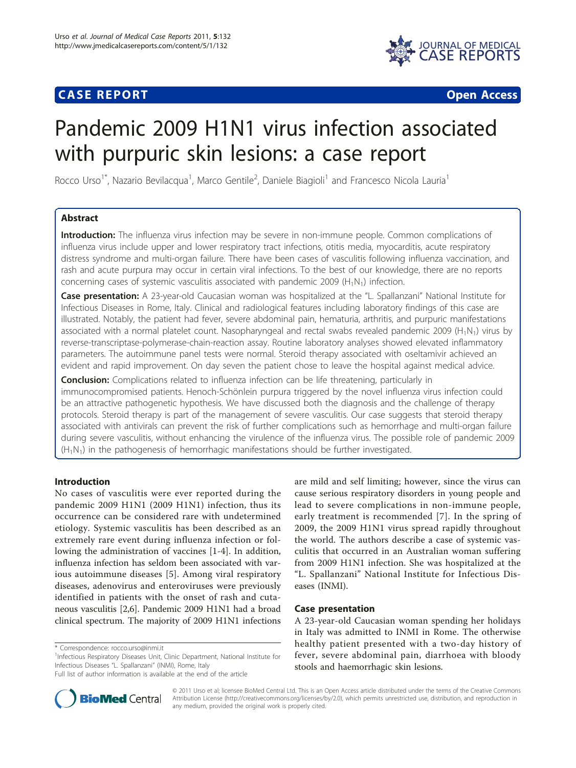## **CASE REPORT CASE REPORT**



# Pandemic 2009 H1N1 virus infection associated with purpuric skin lesions: a case report

Rocco Urso<sup>1\*</sup>, Nazario Bevilacqua<sup>1</sup>, Marco Gentile<sup>2</sup>, Daniele Biagioli<sup>1</sup> and Francesco Nicola Lauria<sup>1</sup>

## Abstract

Introduction: The influenza virus infection may be severe in non-immune people. Common complications of influenza virus include upper and lower respiratory tract infections, otitis media, myocarditis, acute respiratory distress syndrome and multi-organ failure. There have been cases of vasculitis following influenza vaccination, and rash and acute purpura may occur in certain viral infections. To the best of our knowledge, there are no reports concerning cases of systemic vasculitis associated with pandemic 2009 ( $H_1N_1$ ) infection.

Case presentation: A 23-year-old Caucasian woman was hospitalized at the "L. Spallanzani" National Institute for Infectious Diseases in Rome, Italy. Clinical and radiological features including laboratory findings of this case are illustrated. Notably, the patient had fever, severe abdominal pain, hematuria, arthritis, and purpuric manifestations associated with a normal platelet count. Nasopharyngeal and rectal swabs revealed pandemic 2009 (H<sub>1</sub>N<sub>1</sub>) virus by reverse-transcriptase-polymerase-chain-reaction assay. Routine laboratory analyses showed elevated inflammatory parameters. The autoimmune panel tests were normal. Steroid therapy associated with oseltamivir achieved an evident and rapid improvement. On day seven the patient chose to leave the hospital against medical advice.

**Conclusion:** Complications related to influenza infection can be life threatening, particularly in immunocompromised patients. Henoch-Schönlein purpura triggered by the novel influenza virus infection could be an attractive pathogenetic hypothesis. We have discussed both the diagnosis and the challenge of therapy protocols. Steroid therapy is part of the management of severe vasculitis. Our case suggests that steroid therapy associated with antivirals can prevent the risk of further complications such as hemorrhage and multi-organ failure during severe vasculitis, without enhancing the virulence of the influenza virus. The possible role of pandemic 2009  $(H<sub>1</sub>N<sub>1</sub>)$  in the pathogenesis of hemorrhagic manifestations should be further investigated.

## Introduction

No cases of vasculitis were ever reported during the pandemic 2009 H1N1 (2009 H1N1) infection, thus its occurrence can be considered rare with undetermined etiology. Systemic vasculitis has been described as an extremely rare event during influenza infection or following the administration of vaccines [[1-4](#page-3-0)]. In addition, influenza infection has seldom been associated with various autoimmune diseases [[5\]](#page-3-0). Among viral respiratory diseases, adenovirus and enteroviruses were previously identified in patients with the onset of rash and cutaneous vasculitis [\[2,6\]](#page-3-0). Pandemic 2009 H1N1 had a broad clinical spectrum. The majority of 2009 H1N1 infections



## Case presentation

A 23-year-old Caucasian woman spending her holidays in Italy was admitted to INMI in Rome. The otherwise healthy patient presented with a two-day history of fever, severe abdominal pain, diarrhoea with bloody stools and haemorrhagic skin lesions.



© 2011 Urso et al; licensee BioMed Central Ltd. This is an Open Access article distributed under the terms of the Creative Commons Attribution License [\(http://creativecommons.org/licenses/by/2.0](http://creativecommons.org/licenses/by/2.0)), which permits unrestricted use, distribution, and reproduction in any medium, provided the original work is properly cited.

<sup>\*</sup> Correspondence: [rocco.urso@inmi.it](mailto:rocco.urso@inmi.it)

<sup>&</sup>lt;sup>1</sup>Infectious Respiratory Diseases Unit, Clinic Department, National Institute for Infectious Diseases "L. Spallanzani" (INMI), Rome, Italy

Full list of author information is available at the end of the article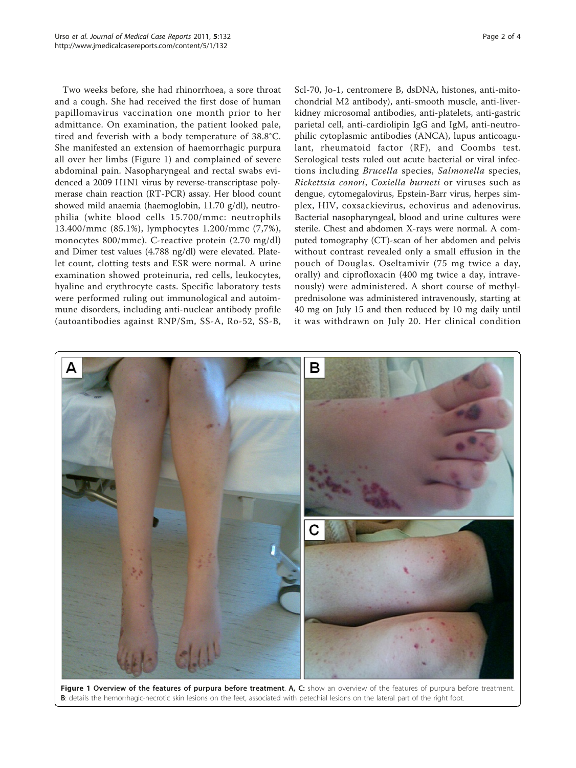Two weeks before, she had rhinorrhoea, a sore throat and a cough. She had received the first dose of human papillomavirus vaccination one month prior to her admittance. On examination, the patient looked pale, tired and feverish with a body temperature of 38.8°C. She manifested an extension of haemorrhagic purpura all over her limbs (Figure 1) and complained of severe abdominal pain. Nasopharyngeal and rectal swabs evidenced a 2009 H1N1 virus by reverse-transcriptase polymerase chain reaction (RT-PCR) assay. Her blood count showed mild anaemia (haemoglobin, 11.70 g/dl), neutrophilia (white blood cells 15.700/mmc: neutrophils 13.400/mmc (85.1%), lymphocytes 1.200/mmc (7,7%), monocytes 800/mmc). C-reactive protein (2.70 mg/dl) and Dimer test values (4.788 ng/dl) were elevated. Platelet count, clotting tests and ESR were normal. A urine examination showed proteinuria, red cells, leukocytes, hyaline and erythrocyte casts. Specific laboratory tests were performed ruling out immunological and autoimmune disorders, including anti-nuclear antibody profile (autoantibodies against RNP/Sm, SS-A, Ro-52, SS-B, Scl-70, Jo-1, centromere B, dsDNA, histones, anti-mitochondrial M2 antibody), anti-smooth muscle, anti-liverkidney microsomal antibodies, anti-platelets, anti-gastric parietal cell, anti-cardiolipin IgG and IgM, anti-neutrophilic cytoplasmic antibodies (ANCA), lupus anticoagulant, rheumatoid factor (RF), and Coombs test. Serological tests ruled out acute bacterial or viral infections including Brucella species, Salmonella species, Rickettsia conori, Coxiella burneti or viruses such as dengue, cytomegalovirus, Epstein-Barr virus, herpes simplex, HIV, coxsackievirus, echovirus and adenovirus. Bacterial nasopharyngeal, blood and urine cultures were sterile. Chest and abdomen X-rays were normal. A computed tomography (CT)-scan of her abdomen and pelvis without contrast revealed only a small effusion in the pouch of Douglas. Oseltamivir (75 mg twice a day, orally) and ciprofloxacin (400 mg twice a day, intravenously) were administered. A short course of methylprednisolone was administered intravenously, starting at 40 mg on July 15 and then reduced by 10 mg daily until it was withdrawn on July 20. Her clinical condition



Figure 1 Overview of the features of purpura before treatment. A, C: show an overview of the features of purpura before treatment. B: details the hemorrhagic-necrotic skin lesions on the feet, associated with petechial lesions on the lateral part of the right foot.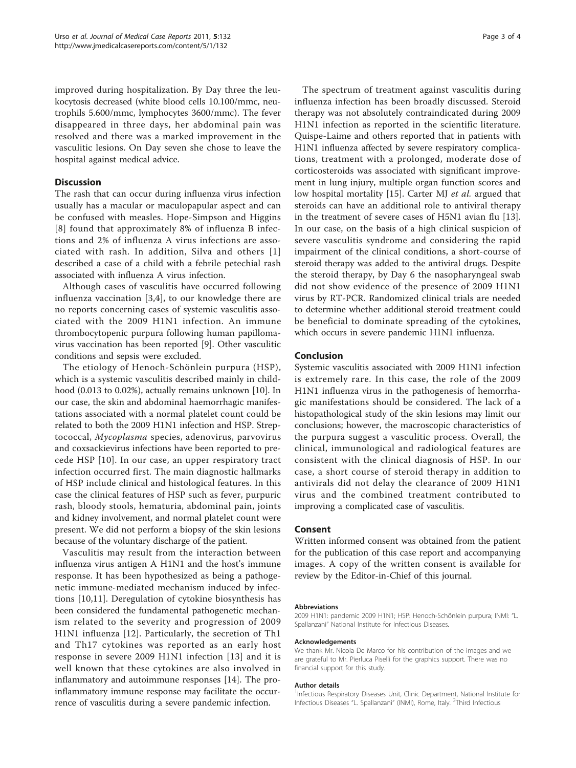improved during hospitalization. By Day three the leukocytosis decreased (white blood cells 10.100/mmc, neutrophils 5.600/mmc, lymphocytes 3600/mmc). The fever disappeared in three days, her abdominal pain was resolved and there was a marked improvement in the vasculitic lesions. On Day seven she chose to leave the hospital against medical advice.

## **Discussion**

The rash that can occur during influenza virus infection usually has a macular or maculopapular aspect and can be confused with measles. Hope-Simpson and Higgins [[8](#page-3-0)] found that approximately 8% of influenza B infections and 2% of influenza A virus infections are associated with rash. In addition, Silva and others [[1](#page-3-0)] described a case of a child with a febrile petechial rash associated with influenza A virus infection.

Although cases of vasculitis have occurred following influenza vaccination [\[3,4\]](#page-3-0), to our knowledge there are no reports concerning cases of systemic vasculitis associated with the 2009 H1N1 infection. An immune thrombocytopenic purpura following human papillomavirus vaccination has been reported [\[9](#page-3-0)]. Other vasculitic conditions and sepsis were excluded.

The etiology of Henoch-Schönlein purpura (HSP), which is a systemic vasculitis described mainly in childhood (0.013 to 0.02%), actually remains unknown [[10\]](#page-3-0). In our case, the skin and abdominal haemorrhagic manifestations associated with a normal platelet count could be related to both the 2009 H1N1 infection and HSP. Streptococcal, Mycoplasma species, adenovirus, parvovirus and coxsackievirus infections have been reported to precede HSP [[10](#page-3-0)]. In our case, an upper respiratory tract infection occurred first. The main diagnostic hallmarks of HSP include clinical and histological features. In this case the clinical features of HSP such as fever, purpuric rash, bloody stools, hematuria, abdominal pain, joints and kidney involvement, and normal platelet count were present. We did not perform a biopsy of the skin lesions because of the voluntary discharge of the patient.

Vasculitis may result from the interaction between influenza virus antigen A H1N1 and the host's immune response. It has been hypothesized as being a pathogenetic immune-mediated mechanism induced by infections [[10,11](#page-3-0)]. Deregulation of cytokine biosynthesis has been considered the fundamental pathogenetic mechanism related to the severity and progression of 2009 H1N1 influenza [[12\]](#page-3-0). Particularly, the secretion of Th1 and Th17 cytokines was reported as an early host response in severe 2009 H1N1 infection [[13](#page-3-0)] and it is well known that these cytokines are also involved in inflammatory and autoimmune responses [[14\]](#page-3-0). The proinflammatory immune response may facilitate the occurrence of vasculitis during a severe pandemic infection.

The spectrum of treatment against vasculitis during influenza infection has been broadly discussed. Steroid therapy was not absolutely contraindicated during 2009 H1N1 infection as reported in the scientific literature. Quispe-Laime and others reported that in patients with H1N1 influenza affected by severe respiratory complications, treatment with a prolonged, moderate dose of corticosteroids was associated with significant improvement in lung injury, multiple organ function scores and low hospital mortality [[15\]](#page-3-0). Carter MJ et al. argued that steroids can have an additional role to antiviral therapy in the treatment of severe cases of H5N1 avian flu [\[13](#page-3-0)]. In our case, on the basis of a high clinical suspicion of severe vasculitis syndrome and considering the rapid impairment of the clinical conditions, a short-course of steroid therapy was added to the antiviral drugs. Despite the steroid therapy, by Day 6 the nasopharyngeal swab did not show evidence of the presence of 2009 H1N1 virus by RT-PCR. Randomized clinical trials are needed to determine whether additional steroid treatment could be beneficial to dominate spreading of the cytokines, which occurs in severe pandemic H1N1 influenza.

## Conclusion

Systemic vasculitis associated with 2009 H1N1 infection is extremely rare. In this case, the role of the 2009 H1N1 influenza virus in the pathogenesis of hemorrhagic manifestations should be considered. The lack of a histopathological study of the skin lesions may limit our conclusions; however, the macroscopic characteristics of the purpura suggest a vasculitic process. Overall, the clinical, immunological and radiological features are consistent with the clinical diagnosis of HSP. In our case, a short course of steroid therapy in addition to antivirals did not delay the clearance of 2009 H1N1 virus and the combined treatment contributed to improving a complicated case of vasculitis.

### Consent

Written informed consent was obtained from the patient for the publication of this case report and accompanying images. A copy of the written consent is available for review by the Editor-in-Chief of this journal.

#### Abbreviations

2009 H1N1: pandemic 2009 H1N1; HSP: Henoch-Schönlein purpura; INMI: "L. Spallanzani" National Institute for Infectious Diseases.

#### Acknowledgements

We thank Mr. Nicola De Marco for his contribution of the images and we are grateful to Mr. Pierluca Piselli for the graphics support. There was no financial support for this study.

#### Author details

<sup>1</sup>Infectious Respiratory Diseases Unit, Clinic Department, National Institute for Infectious Diseases "L. Spallanzani" (INMI), Rome, Italy. <sup>2</sup>Third Infectious